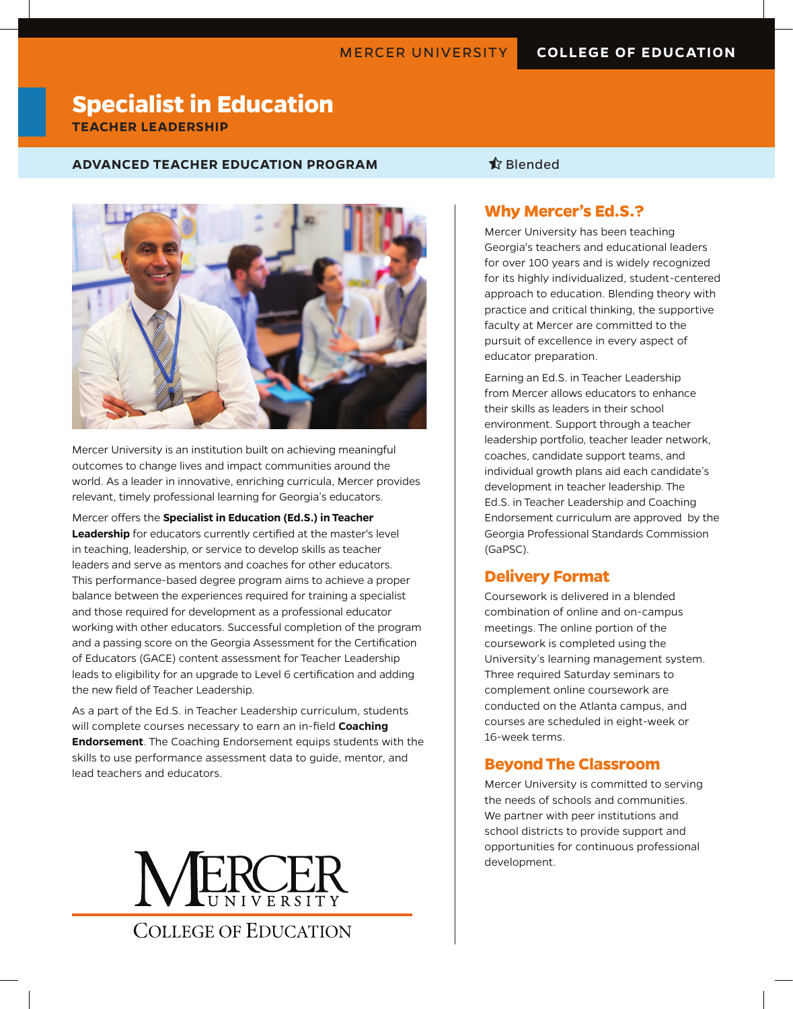# **Specialist in Education TEACHER LEADERSHIP**

#### **ADVANCED TEACHER EDUCATION PROGRAM 12 September 12 September 12 September 12 September 12 September 13 September 13 September 13 September 13 September 13 September 13 September 13 September 13 September 13 September 13 S**



Mercer University is an institution built on achieving meaningful outcomes to change lives and impact communities around the world. As a leader in innovative, enriching curricula, Mercer provides relevant, timely professional learning for Georgia's educators.

Mercer offers the **Specialist in Education (Ed.S.) in Teacher Leadership** for educators currently certified at the master's level in teaching, leadership, or service to develop skills as teacher leaders and serve as mentors and coaches for other educators. This performance-based degree program aims to achieve a proper balance between the experiences required for training a specialist and those required for development as a professional educator working with other educators. Successful completion of the program and a passing score on the Georgia Assessment for the Certification of Educators (GACE) content assessment for Teacher Leadership leads to eligibility for an upgrade to Level 6 certification and adding the new field of Teacher Leadership.

As a part of the Ed.S. in Teacher Leadership curriculum, students will complete courses necessary to earn an in-field **Coaching Endorsement**. The Coaching Endorsement equips students with the skills to use performance assessment data to guide, mentor, and lead teachers and educators.



# **Why Mercer's Ed.S.?**

Mercer University has been teaching Georgia's teachers and educational leaders for over 100 years and is widely recognized for its highly individualized, student-centered approach to education. Blending theory with practice and critical thinking, the supportive faculty at Mercer are committed to the pursuit of excellence in every aspect of educator preparation.

Earning an Ed.S. in Teacher Leadership from Mercer allows educators to enhance their skills as leaders in their school environment. Support through a teacher leadership portfolio, teacher leader network, coaches, candidate support teams, and individual growth plans aid each candidate's development in teacher leadership. The Ed.S. in Teacher Leadership and Coaching Endorsement curriculum are approved by the Georgia Professional Standards Commission (GaPSC).

# **Delivery Format**

Coursework is delivered in a blended combination of online and on-campus meetings. The online portion of the coursework is completed using the University's learning management system. Three required Saturday seminars to complement online coursework are conducted on the Atlanta campus, and courses are scheduled in eight-week or 16-week terms.

## **Beyond The Classroom**

Mercer University is committed to serving the needs of schools and communities. We partner with peer institutions and school districts to provide support and opportunities for continuous professional development.

**COLLEGE OF EDUCATION**